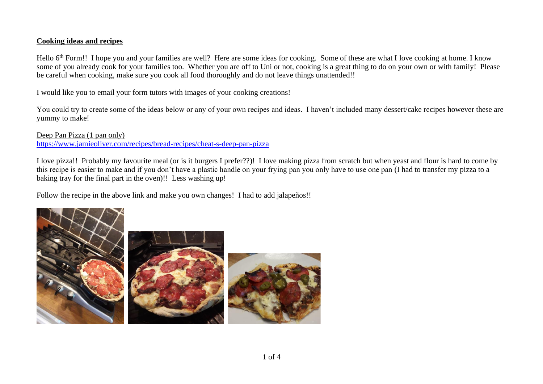## **Cooking ideas and recipes**

Hello 6<sup>th</sup> Form!! I hope you and your families are well? Here are some ideas for cooking. Some of these are what I love cooking at home. I know some of you already cook for your families too. Whether you are off to Uni or not, cooking is a great thing to do on your own or with family! Please be careful when cooking, make sure you cook all food thoroughly and do not leave things unattended!!

I would like you to email your form tutors with images of your cooking creations!

You could try to create some of the ideas below or any of your own recipes and ideas. I haven't included many dessert/cake recipes however these are yummy to make!

## Deep Pan Pizza (1 pan only) <https://www.jamieoliver.com/recipes/bread-recipes/cheat-s-deep-pan-pizza>

I love pizza!! Probably my favourite meal (or is it burgers I prefer??)! I love making pizza from scratch but when yeast and flour is hard to come by this recipe is easier to make and if you don't have a plastic handle on your frying pan you only have to use one pan (I had to transfer my pizza to a baking tray for the final part in the oven)!! Less washing up!

Follow the recipe in the above link and make you own changes! I had to add jalapeños!!

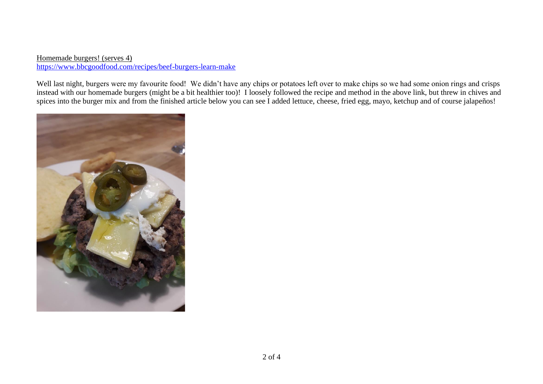Homemade burgers! (serves 4) <https://www.bbcgoodfood.com/recipes/beef-burgers-learn-make>

Well last night, burgers were my favourite food! We didn't have any chips or potatoes left over to make chips so we had some onion rings and crisps instead with our homemade burgers (might be a bit healthier too)! I loosely followed the recipe and method in the above link, but threw in chives and spices into the burger mix and from the finished article below you can see I added lettuce, cheese, fried egg, mayo, ketchup and of course jalapeños!

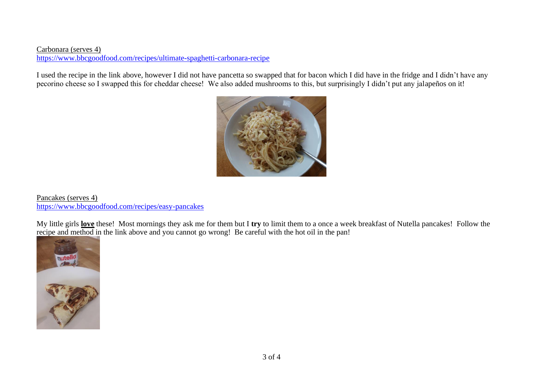## Carbonara (serves 4) <https://www.bbcgoodfood.com/recipes/ultimate-spaghetti-carbonara-recipe>

I used the recipe in the link above, however I did not have pancetta so swapped that for bacon which I did have in the fridge and I didn't have any pecorino cheese so I swapped this for cheddar cheese! We also added mushrooms to this, but surprisingly I didn't put any jalapeños on it!



Pancakes (serves 4) <https://www.bbcgoodfood.com/recipes/easy-pancakes>

My little girls **love** these! Most mornings they ask me for them but I **try** to limit them to a once a week breakfast of Nutella pancakes! Follow the recipe and method in the link above and you cannot go wrong! Be careful with the hot oil in the pan!